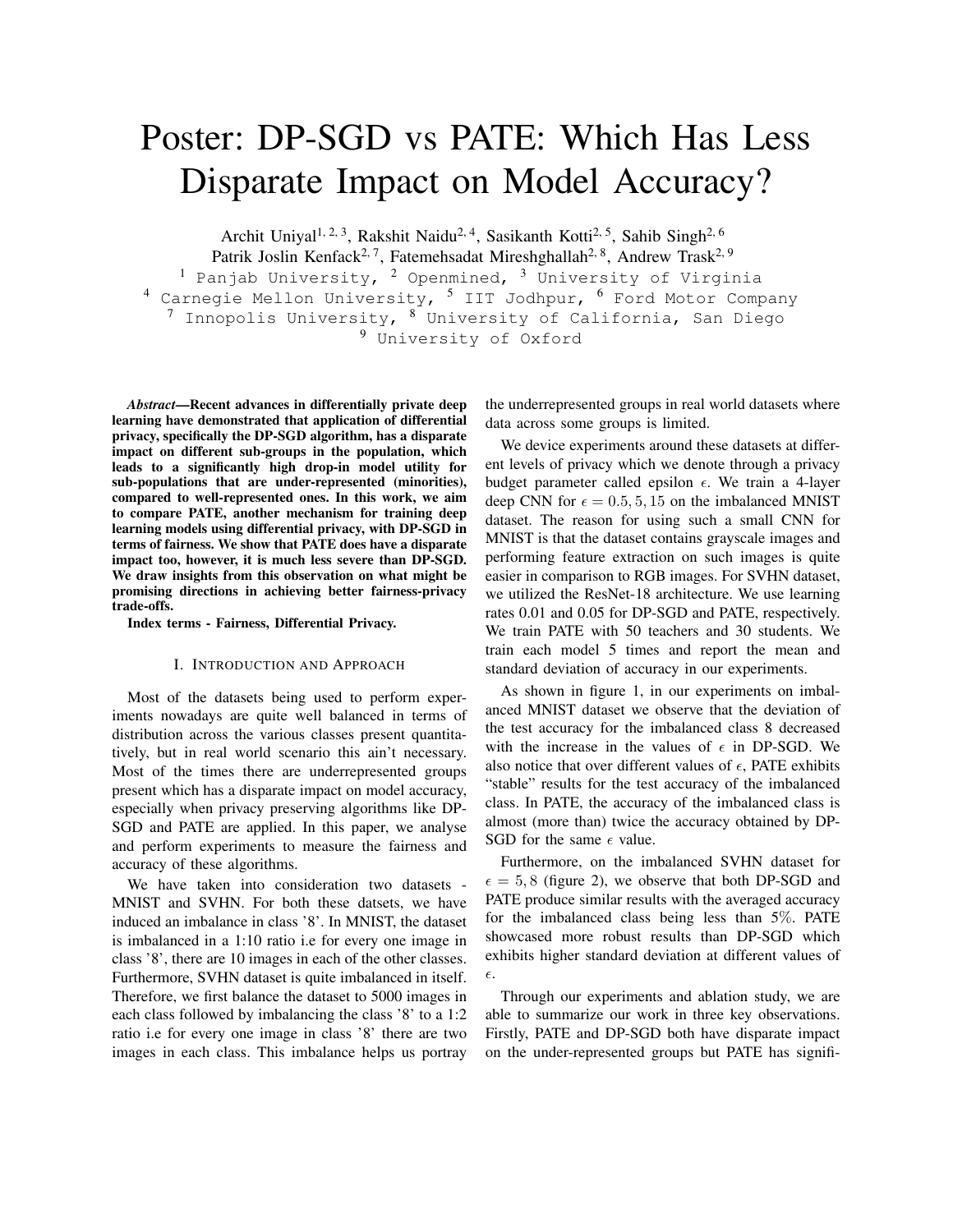## Poster: DP-SGD vs PATE: Which Has Less Disparate Impact on Model Accuracy?

Archit Uniyal<sup>1, 2, 3</sup>, Rakshit Naidu<sup>2, 4</sup>, Sasikanth Kotti<sup>2, 5</sup>, Sahib Singh<sup>2, 6</sup>

Patrik Joslin Kenfack<sup>2, 7</sup>, Fatemehsadat Mireshghallah<sup>2, 8</sup>, Andrew Trask<sup>2, 9</sup>

<sup>1</sup> Panjab University,  $2$  Openmined,  $3$  University of Virginia <sup>4</sup> Carnegie Mellon University, <sup>5</sup> IIT Jodhpur, <sup>6</sup> Ford Motor Company  $^7$  Innopolis University,  $^8$  University of California, San Diego <sup>9</sup> University of Oxford

*Abstract*—Recent advances in differentially private deep learning have demonstrated that application of differential privacy, specifically the DP-SGD algorithm, has a disparate impact on different sub-groups in the population, which leads to a significantly high drop-in model utility for sub-populations that are under-represented (minorities), compared to well-represented ones. In this work, we aim to compare PATE, another mechanism for training deep learning models using differential privacy, with DP-SGD in terms of fairness. We show that PATE does have a disparate impact too, however, it is much less severe than DP-SGD. We draw insights from this observation on what might be promising directions in achieving better fairness-privacy trade-offs.

Index terms - Fairness, Differential Privacy.

## I. INTRODUCTION AND APPROACH

Most of the datasets being used to perform experiments nowadays are quite well balanced in terms of distribution across the various classes present quantitatively, but in real world scenario this ain't necessary. Most of the times there are underrepresented groups present which has a disparate impact on model accuracy, especially when privacy preserving algorithms like DP-SGD and PATE are applied. In this paper, we analyse and perform experiments to measure the fairness and accuracy of these algorithms.

We have taken into consideration two datasets - MNIST and SVHN. For both these datsets, we have induced an imbalance in class '8'. In MNIST, the dataset is imbalanced in a 1:10 ratio i.e for every one image in class '8', there are 10 images in each of the other classes. Furthermore, SVHN dataset is quite imbalanced in itself. Therefore, we first balance the dataset to 5000 images in each class followed by imbalancing the class '8' to a 1:2 ratio i.e for every one image in class '8' there are two images in each class. This imbalance helps us portray the underrepresented groups in real world datasets where data across some groups is limited.

We device experiments around these datasets at different levels of privacy which we denote through a privacy budget parameter called epsilon  $\epsilon$ . We train a 4-layer deep CNN for  $\epsilon = 0.5, 5, 15$  on the imbalanced MNIST dataset. The reason for using such a small CNN for MNIST is that the dataset contains grayscale images and performing feature extraction on such images is quite easier in comparison to RGB images. For SVHN dataset, we utilized the ResNet-18 architecture. We use learning rates 0.01 and 0.05 for DP-SGD and PATE, respectively. We train PATE with 50 teachers and 30 students. We train each model 5 times and report the mean and standard deviation of accuracy in our experiments.

As shown in figure [1,](#page-1-0) in our experiments on imbalanced MNIST dataset we observe that the deviation of the test accuracy for the imbalanced class 8 decreased with the increase in the values of  $\epsilon$  in DP-SGD. We also notice that over different values of  $\epsilon$ , PATE exhibits "stable" results for the test accuracy of the imbalanced class. In PATE, the accuracy of the imbalanced class is almost (more than) twice the accuracy obtained by DP-SGD for the same  $\epsilon$  value.

Furthermore, on the imbalanced SVHN dataset for  $\epsilon = 5, 8$  (figure [2\)](#page-1-0), we observe that both DP-SGD and PATE produce similar results with the averaged accuracy for the imbalanced class being less than 5%. PATE showcased more robust results than DP-SGD which exhibits higher standard deviation at different values of  $\epsilon.$ 

Through our experiments and ablation study, we are able to summarize our work in three key observations. Firstly, PATE and DP-SGD both have disparate impact on the under-represented groups but PATE has signifi-